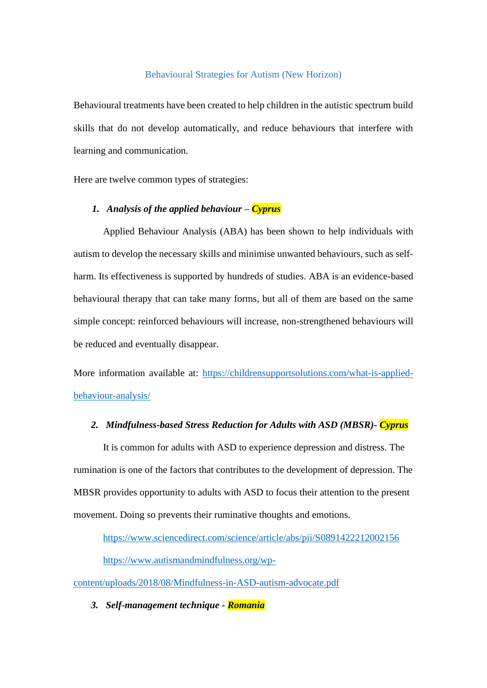### Behavioural Strategies for Autism (New Horizon)

Behavioural treatments have been created to help children in the autistic spectrum build skills that do not develop automatically, and reduce behaviours that interfere with learning and communication.

Here are twelve common types of strategies:

## *1. Analysis of the applied behaviour – Cyprus*

Applied Behaviour Analysis (ABA) has been shown to help individuals with autism to develop the necessary skills and minimise unwanted behaviours, such as selfharm. Its effectiveness is supported by hundreds of studies. ABA is an evidence-based behavioural therapy that can take many forms, but all of them are based on the same simple concept: reinforced behaviours will increase, non-strengthened behaviours will be reduced and eventually disappear.

More information available at: [https://childrensupportsolutions.com/what-is-applied](https://childrensupportsolutions.com/what-is-applied-behaviour-analysis/)[behaviour-analysis/](https://childrensupportsolutions.com/what-is-applied-behaviour-analysis/)

## *2. Mindfulness-based Stress Reduction for Adults with ASD (MBSR)- Cyprus*

It is common for adults with ASD to experience depression and distress. The rumination is one of the factors that contributes to the development of depression. The MBSR provides opportunity to adults with ASD to focus their attention to the present movement. Doing so prevents their ruminative thoughts and emotions.

<https://www.sciencedirect.com/science/article/abs/pii/S0891422212002156>

[https://www.autismandmindfulness.org/wp-](https://www.autismandmindfulness.org/wp-content/uploads/2018/08/Mindfulness-in-ASD-autism-advocate.pdf)

[content/uploads/2018/08/Mindfulness-in-ASD-autism-advocate.pdf](https://www.autismandmindfulness.org/wp-content/uploads/2018/08/Mindfulness-in-ASD-autism-advocate.pdf)

*3. Self-management technique - Romania*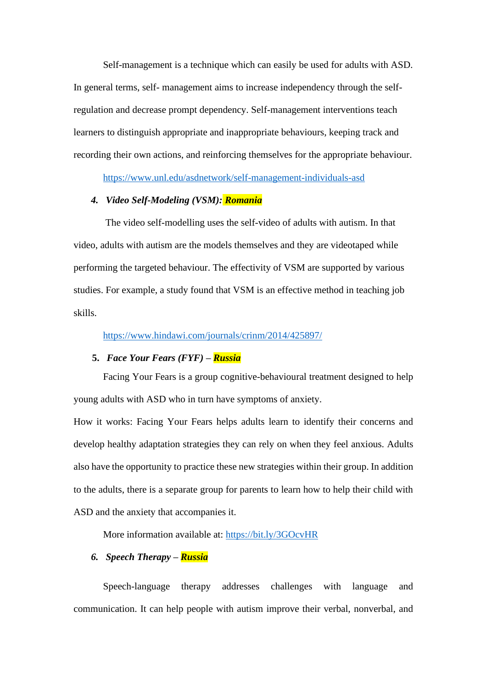Self-management is a technique which can easily be used for adults with ASD. In general terms, self- management aims to increase independency through the selfregulation and decrease prompt dependency. Self-management interventions teach learners to distinguish appropriate and inappropriate behaviours, keeping track and recording their own actions, and reinforcing themselves for the appropriate behaviour.

<https://www.unl.edu/asdnetwork/self-management-individuals-asd>

## *4. Video Self-Modeling (VSM): Romania*

The video self-modelling uses the self-video of adults with autism. In that video, adults with autism are the models themselves and they are videotaped while performing the targeted behaviour. The effectivity of VSM are supported by various studies. For example, a study found that VSM is an effective method in teaching job skills.

## <https://www.hindawi.com/journals/crinm/2014/425897/>

## **5.** *Face Your Fears (FYF) – Russia*

Facing Your Fears is a group cognitive-behavioural treatment designed to help young adults with ASD who in turn have symptoms of anxiety.

How it works: Facing Your Fears helps adults learn to identify their concerns and develop healthy adaptation strategies they can rely on when they feel anxious. Adults also have the opportunity to practice these new strategies within their group. In addition to the adults, there is a separate group for parents to learn how to help their child with ASD and the anxiety that accompanies it.

More information available at:<https://bit.ly/3GOcvHR>

## *6. Speech Therapy – Russia*

Speech-language therapy addresses challenges with language and communication. It can help people with autism improve their verbal, nonverbal, and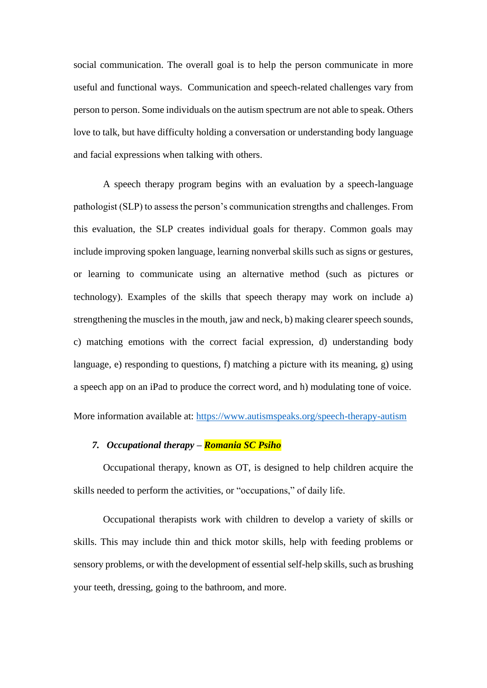social communication. The overall goal is to help the person communicate in more useful and functional ways. Communication and speech-related challenges vary from person to person. Some individuals on the autism spectrum are not able to speak. Others love to talk, but have difficulty holding a conversation or understanding body language and facial expressions when talking with others.

A speech therapy program begins with an evaluation by a speech-language pathologist (SLP) to assess the person's communication strengths and challenges. From this evaluation, the SLP creates individual goals for therapy. Common goals may include improving spoken language, learning nonverbal skills such as signs or gestures, or learning to communicate using an alternative method (such as pictures or technology). Examples of the skills that speech therapy may work on include a) strengthening the muscles in the mouth, jaw and neck, b) making clearer speech sounds, c) matching emotions with the correct facial expression, d) understanding body language, e) responding to questions, f) matching a picture with its meaning, g) using a speech app on an iPad to produce the correct word, and h) modulating tone of voice.

More information available at:<https://www.autismspeaks.org/speech-therapy-autism>

## *7. Occupational therapy – Romania SC Psiho*

Occupational therapy, known as OT, is designed to help children acquire the skills needed to perform the activities, or "occupations," of daily life.

Occupational therapists work with children to develop a variety of skills or skills. This may include thin and thick motor skills, help with feeding problems or sensory problems, or with the development of essential self-help skills, such as brushing your teeth, dressing, going to the bathroom, and more.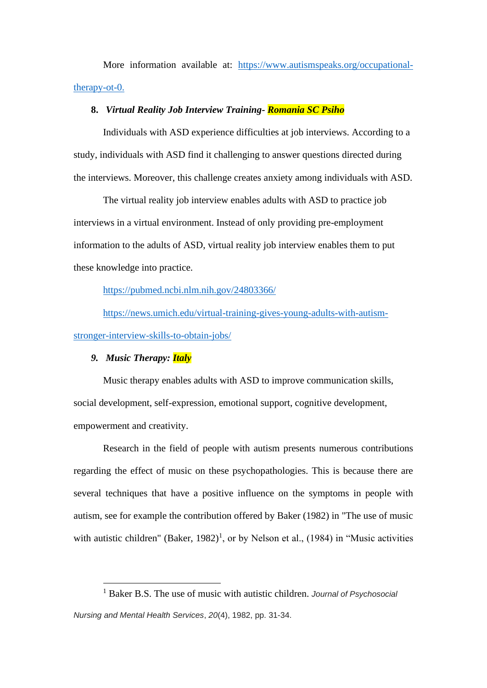More information available at: [https://www.autismspeaks.org/occupational](https://www.autismspeaks.org/occupational-therapy-ot-0)[therapy-ot-0.](https://www.autismspeaks.org/occupational-therapy-ot-0)

#### **8.** *Virtual Reality Job Interview Training- Romania SC Psiho*

Individuals with ASD experience difficulties at job interviews. According to a study, individuals with ASD find it challenging to answer questions directed during the interviews. Moreover, this challenge creates anxiety among individuals with ASD.

The virtual reality job interview enables adults with ASD to practice job interviews in a virtual environment. Instead of only providing pre-employment information to the adults of ASD, virtual reality job interview enables them to put these knowledge into practice.

<https://pubmed.ncbi.nlm.nih.gov/24803366/>

[https://news.umich.edu/virtual-training-gives-young-adults-with-autism](https://news.umich.edu/virtual-training-gives-young-adults-with-autism-stronger-interview-skills-to-obtain-jobs/)[stronger-interview-skills-to-obtain-jobs/](https://news.umich.edu/virtual-training-gives-young-adults-with-autism-stronger-interview-skills-to-obtain-jobs/)

## *9. Music Therapy: Italy*

Music therapy enables adults with ASD to improve communication skills, social development, self-expression, emotional support, cognitive development, empowerment and creativity.

Research in the field of people with autism presents numerous contributions regarding the effect of music on these psychopathologies. This is because there are several techniques that have a positive influence on the symptoms in people with autism, see for example the contribution offered by Baker (1982) in "The use of music with autistic children" (Baker,  $1982$ )<sup>1</sup>, or by Nelson et al., (1984) in "Music activities

<sup>1</sup> Baker B.S. The use of music with autistic children. *Journal of Psychosocial Nursing and Mental Health Services*, *20*(4), 1982, pp. 31-34.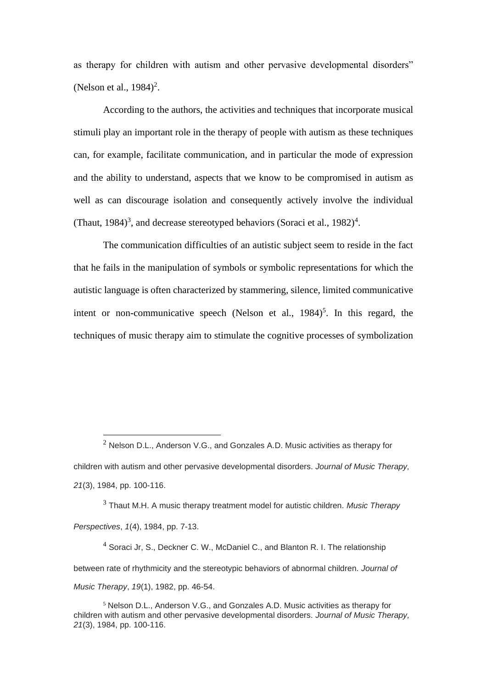as therapy for children with autism and other pervasive developmental disorders" (Nelson et al.,  $1984$ )<sup>2</sup>.

According to the authors, the activities and techniques that incorporate musical stimuli play an important role in the therapy of people with autism as these techniques can, for example, facilitate communication, and in particular the mode of expression and the ability to understand, aspects that we know to be compromised in autism as well as can discourage isolation and consequently actively involve the individual (Thaut, 1984)<sup>3</sup>, and decrease stereotyped behaviors (Soraci et al., 1982)<sup>4</sup>.

The communication difficulties of an autistic subject seem to reside in the fact that he fails in the manipulation of symbols or symbolic representations for which the autistic language is often characterized by stammering, silence, limited communicative intent or non-communicative speech (Nelson et al.,  $1984$ )<sup>5</sup>. In this regard, the techniques of music therapy aim to stimulate the cognitive processes of symbolization

<sup>3</sup> Thaut M.H. A music therapy treatment model for autistic children. *Music Therapy Perspectives*, *1*(4), 1984, pp. 7-13.

 $4$  Soraci Jr, S., Deckner C. W., McDaniel C., and Blanton R. I. The relationship between rate of rhythmicity and the stereotypic behaviors of abnormal children. *Journal of Music Therapy*, *19*(1), 1982, pp. 46-54.

 $2$  Nelson D.L., Anderson V.G., and Gonzales A.D. Music activities as therapy for children with autism and other pervasive developmental disorders. *Journal of Music Therapy, 21*(3), 1984, pp. 100-116.

<sup>5</sup> Nelson D.L., Anderson V.G., and Gonzales A.D. Music activities as therapy for children with autism and other pervasive developmental disorders. *Journal of Music Therapy, 21*(3), 1984, pp. 100-116.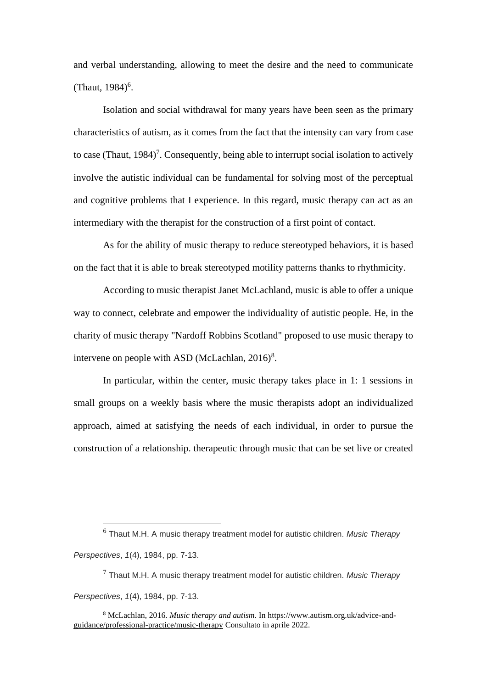and verbal understanding, allowing to meet the desire and the need to communicate (Thaut,  $1984$ <sup>6</sup>.

Isolation and social withdrawal for many years have been seen as the primary characteristics of autism, as it comes from the fact that the intensity can vary from case to case (Thaut,  $1984$ )<sup>7</sup>. Consequently, being able to interrupt social isolation to actively involve the autistic individual can be fundamental for solving most of the perceptual and cognitive problems that I experience. In this regard, music therapy can act as an intermediary with the therapist for the construction of a first point of contact.

As for the ability of music therapy to reduce stereotyped behaviors, it is based on the fact that it is able to break stereotyped motility patterns thanks to rhythmicity.

According to music therapist Janet McLachland, music is able to offer a unique way to connect, celebrate and empower the individuality of autistic people. He, in the charity of music therapy "Nardoff Robbins Scotland" proposed to use music therapy to intervene on people with ASD (McLachlan,  $2016$ <sup>8</sup>.

In particular, within the center, music therapy takes place in 1: 1 sessions in small groups on a weekly basis where the music therapists adopt an individualized approach, aimed at satisfying the needs of each individual, in order to pursue the construction of a relationship. therapeutic through music that can be set live or created

*Perspectives*, *1*(4), 1984, pp. 7-13.

<sup>7</sup> Thaut M.H. A music therapy treatment model for autistic children. *Music Therapy Perspectives*, *1*(4), 1984, pp. 7-13.

<sup>6</sup> Thaut M.H. A music therapy treatment model for autistic children. *Music Therapy* 

<sup>8</sup> McLachlan, 2016. *Music therapy and autism*. In https://www.autism.org.uk/advice-andguidance/professional-practice/music-therapy Consultato in aprile 2022.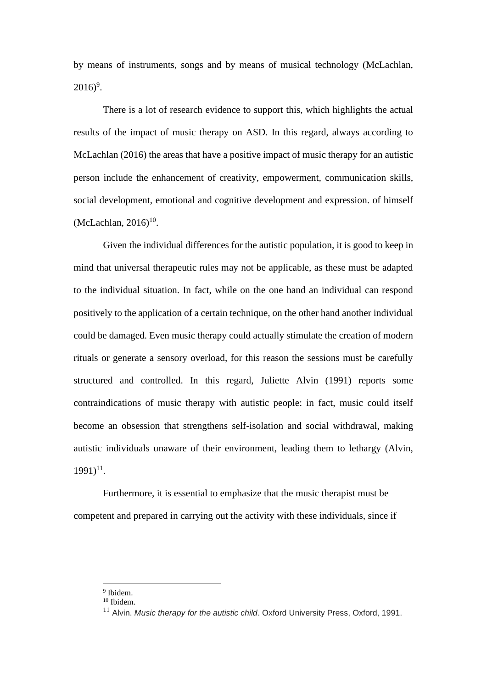by means of instruments, songs and by means of musical technology (McLachlan,  $2016$ <sup>9</sup>.

There is a lot of research evidence to support this, which highlights the actual results of the impact of music therapy on ASD. In this regard, always according to McLachlan (2016) the areas that have a positive impact of music therapy for an autistic person include the enhancement of creativity, empowerment, communication skills, social development, emotional and cognitive development and expression. of himself  $(McLachlan, 2016)^{10}$ .

Given the individual differences for the autistic population, it is good to keep in mind that universal therapeutic rules may not be applicable, as these must be adapted to the individual situation. In fact, while on the one hand an individual can respond positively to the application of a certain technique, on the other hand another individual could be damaged. Even music therapy could actually stimulate the creation of modern rituals or generate a sensory overload, for this reason the sessions must be carefully structured and controlled. In this regard, Juliette Alvin (1991) reports some contraindications of music therapy with autistic people: in fact, music could itself become an obsession that strengthens self-isolation and social withdrawal, making autistic individuals unaware of their environment, leading them to lethargy (Alvin,  $1991)^{11}$ .

Furthermore, it is essential to emphasize that the music therapist must be competent and prepared in carrying out the activity with these individuals, since if

<sup>9</sup> Ibidem.

<sup>10</sup> Ibidem.

<sup>&</sup>lt;sup>11</sup> Alvin. *Music therapy for the autistic child*. Oxford University Press, Oxford, 1991.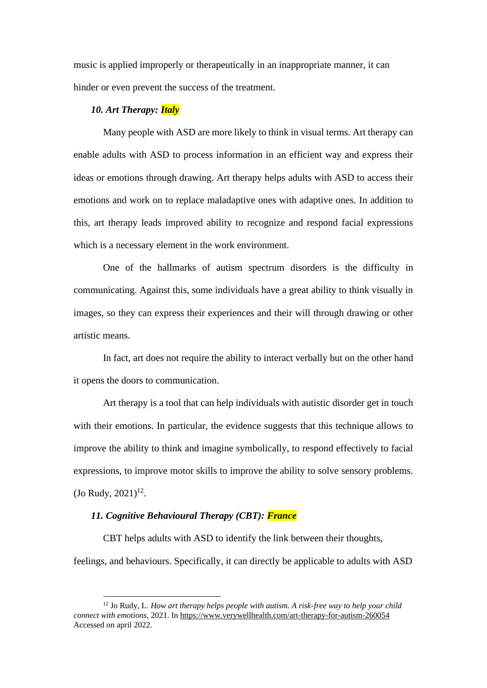music is applied improperly or therapeutically in an inappropriate manner, it can hinder or even prevent the success of the treatment.

## *10. Art Therapy: Italy*

Many people with ASD are more likely to think in visual terms. Art therapy can enable adults with ASD to process information in an efficient way and express their ideas or emotions through drawing. Art therapy helps adults with ASD to access their emotions and work on to replace maladaptive ones with adaptive ones. In addition to this, art therapy leads improved ability to recognize and respond facial expressions which is a necessary element in the work environment.

One of the hallmarks of autism spectrum disorders is the difficulty in communicating. Against this, some individuals have a great ability to think visually in images, so they can express their experiences and their will through drawing or other artistic means.

In fact, art does not require the ability to interact verbally but on the other hand it opens the doors to communication.

Art therapy is a tool that can help individuals with autistic disorder get in touch with their emotions. In particular, the evidence suggests that this technique allows to improve the ability to think and imagine symbolically, to respond effectively to facial expressions, to improve motor skills to improve the ability to solve sensory problems.  $($  Jo Rudy, 2021 $)^{12}$ .

#### *11. Cognitive Behavioural Therapy (CBT): France*

CBT helps adults with ASD to identify the link between their thoughts, feelings, and behaviours. Specifically, it can directly be applicable to adults with ASD

<sup>12</sup> Jo Rudy, L. *How art therapy helps people with autism. A risk-free way to help your child connect with emotions*, 2021. In https://www.verywellhealth.com/art-therapy-for-autism-260054 Accessed on april 2022.